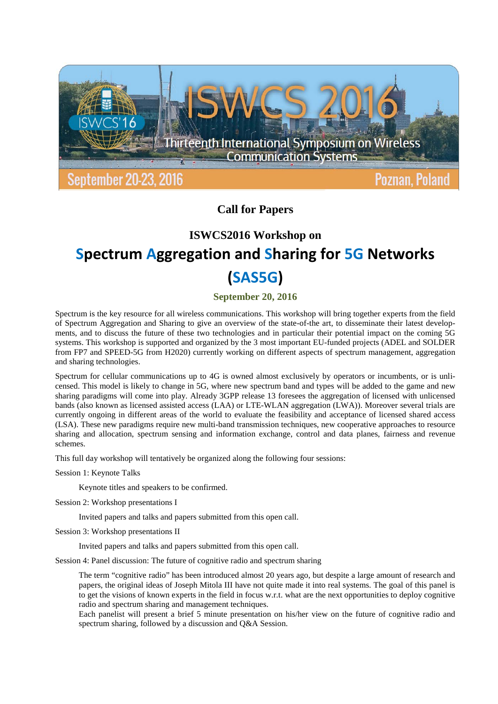

## **Call for Papers**

### **ISWCS2016 Workshop on**

# **Spectrum Aggregation and Sharing for 5G Networks (SAS5G)**

**September 20, 2016**

Spectrum is the key resource for all wireless communications. This workshop will bring together experts from the field of Spectrum Aggregation and Sharing to give an overview of the state-of-the art, to disseminate their latest developments, and to discuss the future of these two technologies and in particular their potential impact on the coming 5G systems. This workshop is supported and organized by the 3 most important EU-funded projects (ADEL and SOLDER from FP7 and SPEED-5G from H2020) currently working on different aspects of spectrum management, aggregation and sharing technologies.

Spectrum for cellular communications up to 4G is owned almost exclusively by operators or incumbents, or is unlicensed. This model is likely to change in 5G, where new spectrum band and types will be added to the game and new sharing paradigms will come into play. Already 3GPP release 13 foresees the aggregation of licensed with unlicensed bands (also known as licensed assisted access (LAA) or LTE-WLAN aggregation (LWA)). Moreover several trials are currently ongoing in different areas of the world to evaluate the feasibility and acceptance of licensed shared access (LSA). These new paradigms require new multi-band transmission techniques, new cooperative approaches to resource sharing and allocation, spectrum sensing and information exchange, control and data planes, fairness and revenue schemes.

This full day workshop will tentatively be organized along the following four sessions:

Session 1: Keynote Talks

Keynote titles and speakers to be confirmed.

Session 2: Workshop presentations I

Invited papers and talks and papers submitted from this open call.

Session 3: Workshop presentations II

Invited papers and talks and papers submitted from this open call.

Session 4: Panel discussion: The future of cognitive radio and spectrum sharing

The term "cognitive radio" has been introduced almost 20 years ago, but despite a large amount of research and papers, the original ideas of Joseph Mitola III have not quite made it into real systems. The goal of this panel is to get the visions of known experts in the field in focus w.r.t. what are the next opportunities to deploy cognitive radio and spectrum sharing and management techniques.

Each panelist will present a brief 5 minute presentation on his/her view on the future of cognitive radio and spectrum sharing, followed by a discussion and Q&A Session.